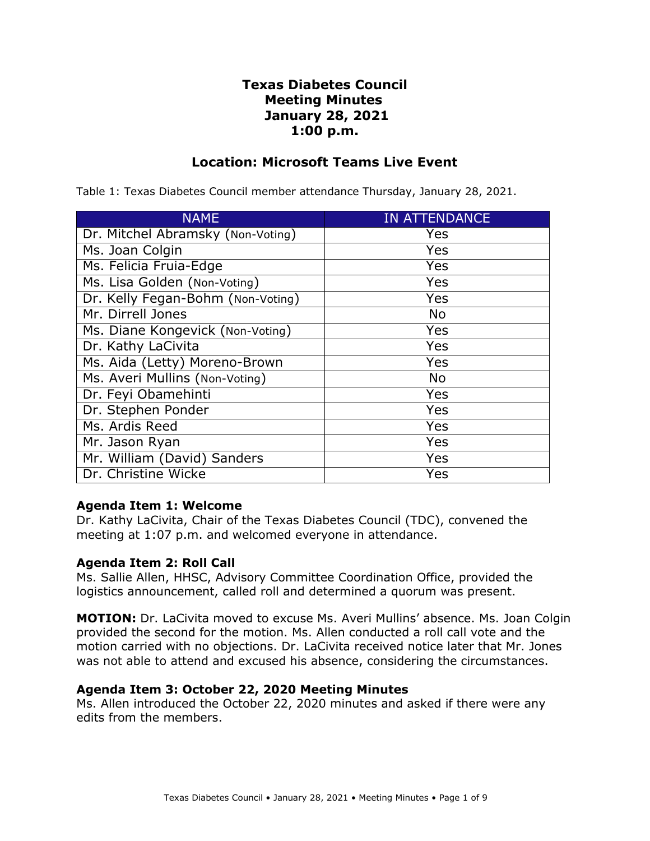# **Texas Diabetes Council Meeting Minutes January 28, 2021 1:00 p.m.**

## **Location: Microsoft Teams Live Event**

| <b>NAME</b>                       | <b>IN ATTENDANCE</b> |
|-----------------------------------|----------------------|
| Dr. Mitchel Abramsky (Non-Voting) | Yes                  |
| Ms. Joan Colgin                   | Yes                  |
| Ms. Felicia Fruia-Edge            | Yes                  |
| Ms. Lisa Golden (Non-Voting)      | Yes                  |
| Dr. Kelly Fegan-Bohm (Non-Voting) | Yes                  |
| Mr. Dirrell Jones                 | <b>No</b>            |
| Ms. Diane Kongevick (Non-Voting)  | Yes                  |
| Dr. Kathy LaCivita                | Yes                  |
| Ms. Aida (Letty) Moreno-Brown     | Yes                  |
| Ms. Averi Mullins (Non-Voting)    | <b>No</b>            |
| Dr. Feyi Obamehinti               | Yes                  |
| Dr. Stephen Ponder                | Yes                  |
| Ms. Ardis Reed                    | Yes                  |
| Mr. Jason Ryan                    | Yes                  |
| Mr. William (David) Sanders       | Yes                  |
| Dr. Christine Wicke               | Yes                  |

Table 1: Texas Diabetes Council member attendance Thursday, January 28, 2021.

### **Agenda Item 1: Welcome**

Dr. Kathy LaCivita, Chair of the Texas Diabetes Council (TDC), convened the meeting at 1:07 p.m. and welcomed everyone in attendance.

### **Agenda Item 2: Roll Call**

Ms. Sallie Allen, HHSC, Advisory Committee Coordination Office, provided the logistics announcement, called roll and determined a quorum was present.

**MOTION:** Dr. LaCivita moved to excuse Ms. Averi Mullins' absence. Ms. Joan Colgin provided the second for the motion. Ms. Allen conducted a roll call vote and the motion carried with no objections. Dr. LaCivita received notice later that Mr. Jones was not able to attend and excused his absence, considering the circumstances.

#### **Agenda Item 3: October 22, 2020 Meeting Minutes**

 Ms. Allen introduced the October 22, 2020 minutes and asked if there were any edits from the members.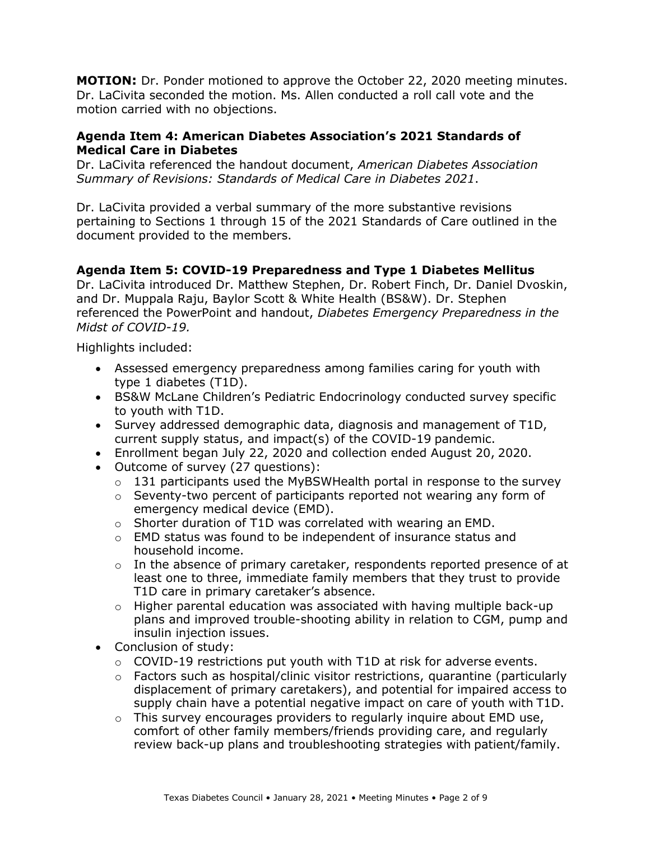**MOTION:** Dr. Ponder motioned to approve the October 22, 2020 meeting minutes. Dr. LaCivita seconded the motion. Ms. Allen conducted a roll call vote and the motion carried with no objections.

### **Agenda Item 4: American Diabetes Association's 2021 Standards of Medical Care in Diabetes**

Dr. LaCivita referenced the handout document, *American Diabetes Association Summary of Revisions: Standards of Medical Care in Diabetes 2021*.

Dr. LaCivita provided a verbal summary of the more substantive revisions pertaining to Sections 1 through 15 of the 2021 Standards of Care outlined in the document provided to the members.

## **Agenda Item 5: COVID-19 Preparedness and Type 1 Diabetes Mellitus**

Dr. LaCivita introduced Dr. Matthew Stephen, Dr. Robert Finch, Dr. Daniel Dvoskin, and Dr. Muppala Raju, Baylor Scott & White Health (BS&W). Dr. Stephen referenced the PowerPoint and handout, *Diabetes Emergency Preparedness in the Midst of COVID-19.* 

Highlights included:

- type 1 diabetes (T1D). • Assessed emergency preparedness among families caring for youth with
- to youth with T1D. • BS&W McLane Children's Pediatric Endocrinology conducted survey specific
- Survey addressed demographic data, diagnosis and management of T1D, current supply status, and impact(s) of the COVID-19 pandemic.
- Enrollment began July 22, 2020 and collection ended August 20, 2020.
- Outcome of survey (27 questions):
	- $\circ$  131 participants used the MyBSWHealth portal in response to the survey
	- emergency medical device (EMD). o Seventy-two percent of participants reported not wearing any form of
	- o Shorter duration of T1D was correlated with wearing an EMD.
	- household income. o EMD status was found to be independent of insurance status and
	- least one to three, immediate family members that they trust to provide T1D care in primary caretaker's absence. o In the absence of primary caretaker, respondents reported presence of at
	- insulin injection issues. o Higher parental education was associated with having multiple back-up plans and improved trouble-shooting ability in relation to CGM, pump and
- • Conclusion of study:
	- $\circ$  COVID-19 restrictions put youth with T1D at risk for adverse events.
	- supply chain have a potential negative impact on care of youth with T1D.  $\circ$  Factors such as hospital/clinic visitor restrictions, quarantine (particularly displacement of primary caretakers), and potential for impaired access to
	- review back-up plans and troubleshooting strategies with patient/family.  $\circ$  This survey encourages providers to regularly inquire about EMD use, comfort of other family members/friends providing care, and regularly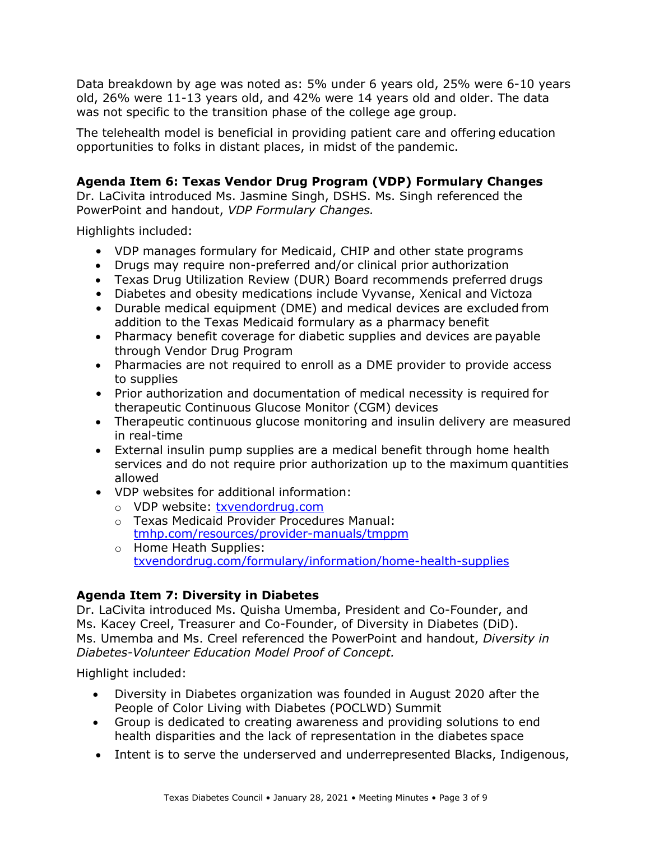was not specific to the transition phase of the college age group. Data breakdown by age was noted as: 5% under 6 years old, 25% were 6-10 years old, 26% were 11-13 years old, and 42% were 14 years old and older. The data

The telehealth model is beneficial in providing patient care and offering education opportunities to folks in distant places, in midst of the pandemic.

# **Agenda Item 6: Texas Vendor Drug Program (VDP) Formulary Changes**

Dr. LaCivita introduced Ms. Jasmine Singh, DSHS. Ms. Singh referenced the PowerPoint and handout, *VDP Formulary Changes.* 

Highlights included:

- VDP manages formulary for Medicaid, CHIP and other state programs
- Drugs may require non-preferred and/or clinical prior authorization
- Texas Drug Utilization Review (DUR) Board recommends preferred drugs
- Diabetes and obesity medications include Vyvanse, Xenical and Victoza
- addition to the Texas Medicaid formulary as a pharmacy benefit • Durable medical equipment (DME) and medical devices are excluded from
- through Vendor Drug Program • Pharmacy benefit coverage for diabetic supplies and devices are payable
- Pharmacies are not required to enroll as a DME provider to provide access to supplies
- therapeutic Continuous Glucose Monitor (CGM) devices • Prior authorization and documentation of medical necessity is required for
- in real-time • Therapeutic continuous glucose monitoring and insulin delivery are measured
- External insulin pump supplies are a medical benefit through home health services and do not require prior authorization up to the maximum quantities allowed
- VDP websites for additional information:
	- o VDP website: [txvendordrug.com](http://www.txvendordrug.com/)
	- o Texas Medicaid Provider Procedures Manual: [tmhp.com/resources/provider-manuals/tmppm](https://www.tmhp.com/resources/provider-manuals/tmppm)
	- [txvendordrug.com/formulary/information/home-health-supplies](https://www.txvendordrug.com/formulary/information/home-health-supplies) o Home Heath Supplies:

# **Agenda Item 7: Diversity in Diabetes**

 *Diabetes-Volunteer Education Model Proof of Concept.*  Dr. LaCivita introduced Ms. Quisha Umemba, President and Co-Founder, and Ms. Kacey Creel, Treasurer and Co-Founder, of Diversity in Diabetes (DiD). Ms. Umemba and Ms. Creel referenced the PowerPoint and handout, *Diversity in* 

Highlight included:

- People of Color Living with Diabetes (POCLWD) Summit • Diversity in Diabetes organization was founded in August 2020 after the
- health disparities and the lack of representation in the diabetes space • Group is dedicated to creating awareness and providing solutions to end
- Intent is to serve the underserved and underrepresented Blacks, Indigenous,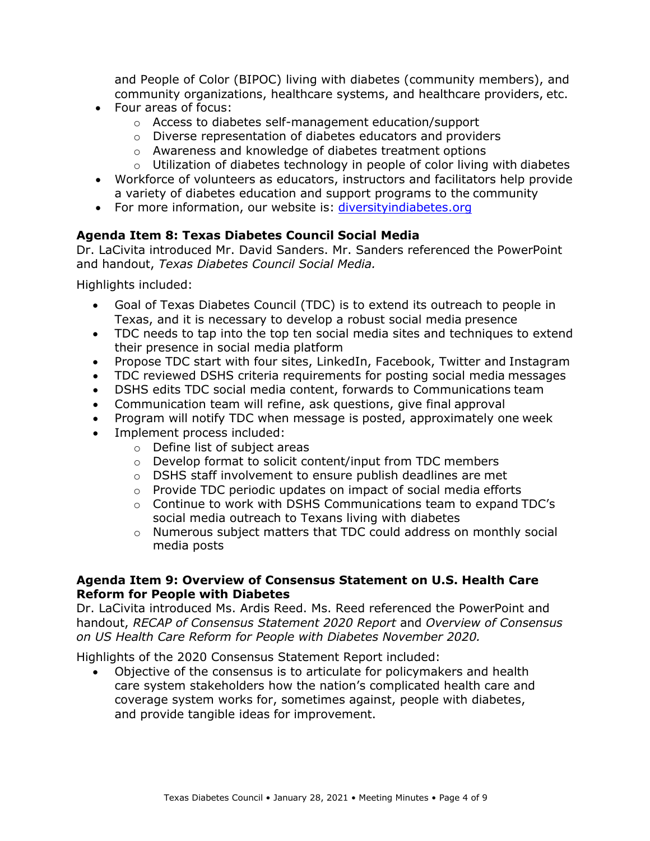community organizations, healthcare systems, and healthcare providers, etc. and People of Color (BIPOC) living with diabetes (community members), and

- • Four areas of focus:
	- o Access to diabetes self-management education/support
	- o Diverse representation of diabetes educators and providers
	- o Awareness and knowledge of diabetes treatment options
	- $\circ$  Utilization of diabetes technology in people of color living with diabetes
- Workforce of volunteers as educators, instructors and facilitators help provide a variety of diabetes education and support programs to the community
- For more information, our website is: diversityindiabetes.org

## **Agenda Item 8: Texas Diabetes Council Social Media**

Dr. LaCivita introduced Mr. David Sanders. Mr. Sanders referenced the PowerPoint and handout, *Texas Diabetes Council Social Media.* 

Highlights included:

- Texas, and it is necessary to develop a robust social media presence • Goal of Texas Diabetes Council (TDC) is to extend its outreach to people in
- their presence in social media platform • TDC needs to tap into the top ten social media sites and techniques to extend
- Propose TDC start with four sites, LinkedIn, Facebook, Twitter and Instagram
- TDC reviewed DSHS criteria requirements for posting social media messages
- DSHS edits TDC social media content, forwards to Communications team
- Communication team will refine, ask questions, give final approval
- Program will notify TDC when message is posted, approximately one week
- • Implement process included:
	- o Define list of subject areas
	- o Develop format to solicit content/input from TDC members
	- o DSHS staff involvement to ensure publish deadlines are met
	- $\circ$  Provide TDC periodic updates on impact of social media efforts
	- o Continue to work with DSHS Communications team to expand TDC's social media outreach to Texans living with diabetes
	- media posts  $\circ$  Numerous subject matters that TDC could address on monthly social

#### **Agenda Item 9: Overview of Consensus Statement on U.S. Health Care Reform for People with Diabetes**

Dr. LaCivita introduced Ms. Ardis Reed. Ms. Reed referenced the PowerPoint and handout, *RECAP of Consensus Statement 2020 Report* and *Overview of Consensus on US Health Care Reform for People with Diabetes November 2020.* 

Highlights of the 2020 Consensus Statement Report included:

• Objective of the consensus is to articulate for policymakers and health care system stakeholders how the nation's complicated health care and coverage system works for, sometimes against, people with diabetes, and provide tangible ideas for improvement.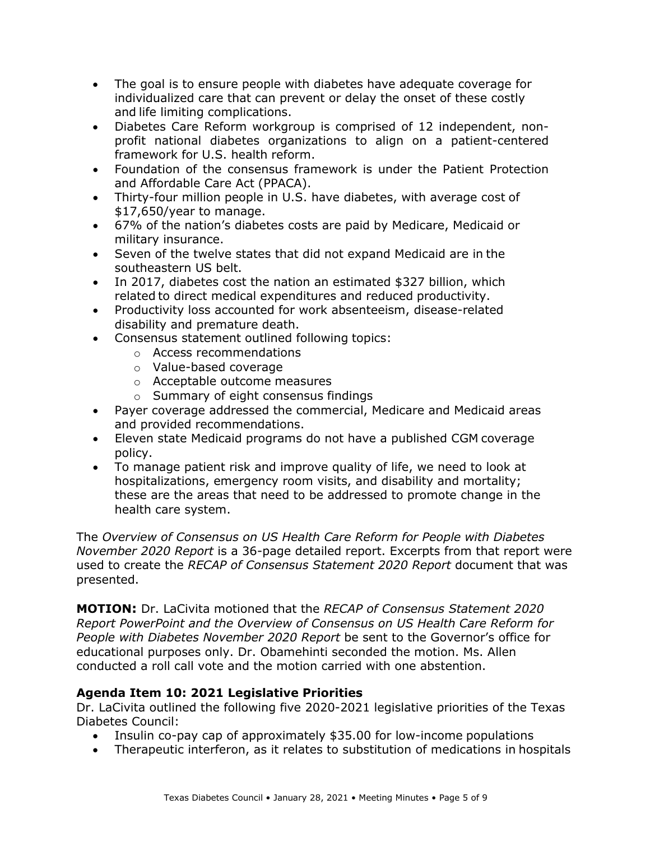- The goal is to ensure people with diabetes have adequate coverage for individualized care that can prevent or delay the onset of these costly and life limiting complications.
- • Diabetes Care Reform workgroup is comprised of 12 independent, non- profit national diabetes organizations to align on a patient-centered framework for U.S. health reform.
- and Affordable Care Act (PPACA). • Foundation of the consensus framework is under the Patient Protection
- • Thirty-four million people in U.S. have diabetes, with average cost of \$17,650/year to manage.
- 67% of the nation's diabetes costs are paid by Medicare, Medicaid or military insurance.
- southeastern US belt. • Seven of the twelve states that did not expand Medicaid are in the
- In 2017, diabetes cost the nation an estimated \$327 billion, which related to direct medical expenditures and reduced productivity.
- disability and premature death. • Productivity loss accounted for work absenteeism, disease-related
- • Consensus statement outlined following topics:
	- o Access recommendations
	- o Value-based coverage
	- o Acceptable outcome measures
	- o Summary of eight consensus findings
- Payer coverage addressed the commercial, Medicare and Medicaid areas and provided recommendations.
- Eleven state Medicaid programs do not have a published CGM coverage policy.
- health care system. • To manage patient risk and improve quality of life, we need to look at hospitalizations, emergency room visits, and disability and mortality; these are the areas that need to be addressed to promote change in the

The *Overview of Consensus on US Health Care Reform for People with Diabetes November 2020 Report* is a 36-page detailed report. Excerpts from that report were used to create the *RECAP of Consensus Statement 2020 Report* document that was presented.

 **MOTION:** Dr. LaCivita motioned that the *RECAP of Consensus Statement 2020 Report PowerPoint and the Overview of Consensus on US Health Care Reform for People with Diabetes November 2020 Report* be sent to the Governor's office for educational purposes only. Dr. Obamehinti seconded the motion. Ms. Allen conducted a roll call vote and the motion carried with one abstention.

# **Agenda Item 10: 2021 Legislative Priorities**

Dr. LaCivita outlined the following five 2020-2021 legislative priorities of the Texas Diabetes Council:

- Insulin co-pay cap of approximately \$35.00 for low-income populations
- Therapeutic interferon, as it relates to substitution of medications in hospitals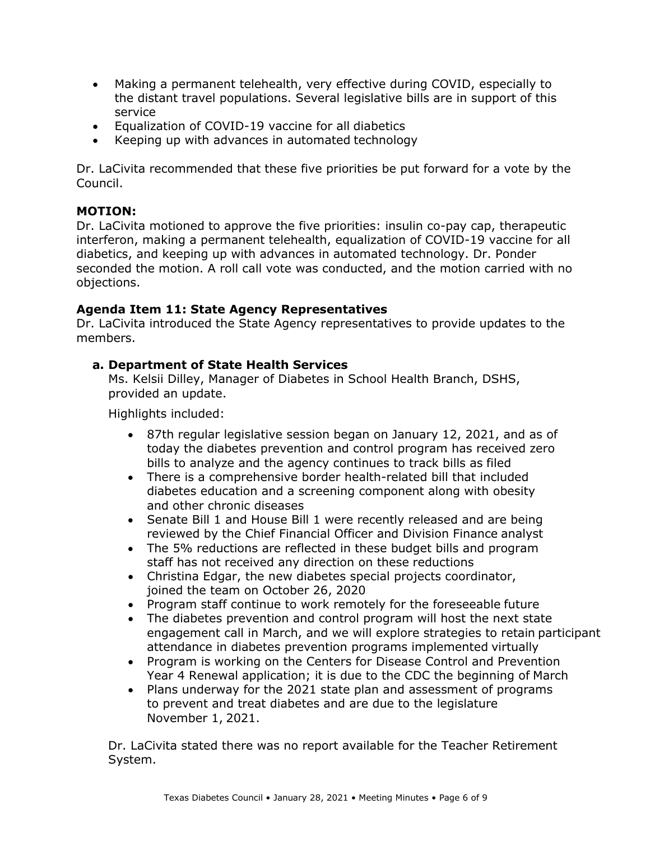- Making a permanent telehealth, very effective during COVID, especially to the distant travel populations. Several legislative bills are in support of this service
- Equalization of COVID-19 vaccine for all diabetics
- Keeping up with advances in automated technology

Dr. LaCivita recommended that these five priorities be put forward for a vote by the Council.

### **MOTION:**

Dr. LaCivita motioned to approve the five priorities: insulin co-pay cap, therapeutic interferon, making a permanent telehealth, equalization of COVID-19 vaccine for all diabetics, and keeping up with advances in automated technology. Dr. Ponder seconded the motion. A roll call vote was conducted, and the motion carried with no objections.

## **Agenda Item 11: State Agency Representatives**

Dr. LaCivita introduced the State Agency representatives to provide updates to the members.

## **a. Department of State Health Services**

Ms. Kelsii Dilley, Manager of Diabetes in School Health Branch, DSHS, provided an update.

Highlights included:

- bills to analyze and the agency continues to track bills as filed • 87th regular legislative session began on January 12, 2021, and as of today the diabetes prevention and control program has received zero
- There is a comprehensive border health-related bill that included diabetes education and a screening component along with obesity and other chronic diseases
- reviewed by the Chief Financial Officer and Division Finance analyst • Senate Bill 1 and House Bill 1 were recently released and are being
- The 5% reductions are reflected in these budget bills and program staff has not received any direction on these reductions
- joined the team on October 26, 2020 • Christina Edgar, the new diabetes special projects coordinator,
- Program staff continue to work remotely for the foreseeable future
- attendance in diabetes prevention programs implemented virtually • The diabetes prevention and control program will host the next state engagement call in March, and we will explore strategies to retain participant
- Year 4 Renewal application; it is due to the CDC the beginning of March • Program is working on the Centers for Disease Control and Prevention
- November 1, 2021. • Plans underway for the 2021 state plan and assessment of programs to prevent and treat diabetes and are due to the legislature

Dr. LaCivita stated there was no report available for the Teacher Retirement System.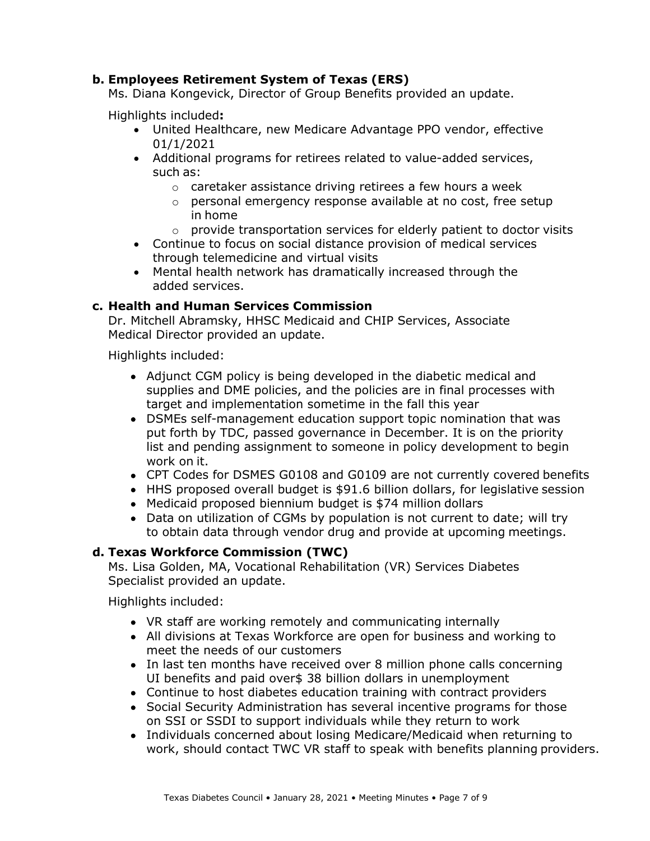## **b. Employees Retirement System of Texas (ERS)**

Ms. Diana Kongevick, Director of Group Benefits provided an update.

Highlights included**:** 

- United Healthcare, new Medicare Advantage PPO vendor, effective 01/1/2021
- such as: • Additional programs for retirees related to value-added services,
	- o caretaker assistance driving retirees a few hours a week
	- in home o personal emergency response available at no cost, free setup
	- $\circ$  provide transportation services for elderly patient to doctor visits
- through telemedicine and virtual visits • Continue to focus on social distance provision of medical services
- Mental health network has dramatically increased through the added services.

## **c. Health and Human Services Commission**

Dr. Mitchell Abramsky, HHSC Medicaid and CHIP Services, Associate Medical Director provided an update.

Highlights included:

- target and implementation sometime in the fall this year • Adjunct CGM policy is being developed in the diabetic medical and supplies and DME policies, and the policies are in final processes with
- work on it. • DSMEs self-management education support topic nomination that was put forth by TDC, passed governance in December. It is on the priority list and pending assignment to someone in policy development to begin
- CPT Codes for DSMES G0108 and G0109 are not currently covered benefits
- HHS proposed overall budget is \$91.6 billion dollars, for legislative session
- Medicaid proposed biennium budget is \$74 million dollars
- • Data on utilization of CGMs by population is not current to date; will try to obtain data through vendor drug and provide at upcoming meetings.

## **d. Texas Workforce Commission (TWC)**

 Specialist provided an update. Ms. Lisa Golden, MA, Vocational Rehabilitation (VR) Services Diabetes

Highlights included:

- VR staff are working remotely and communicating internally
- All divisions at Texas Workforce are open for business and working to meet the needs of our customers
- In last ten months have received over 8 million phone calls concerning UI benefits and paid over\$ 38 billion dollars in unemployment
- Continue to host diabetes education training with contract providers
- on SSI or SSDI to support individuals while they return to work • Social Security Administration has several incentive programs for those
- work, should contact TWC VR staff to speak with benefits planning providers. • Individuals concerned about losing Medicare/Medicaid when returning to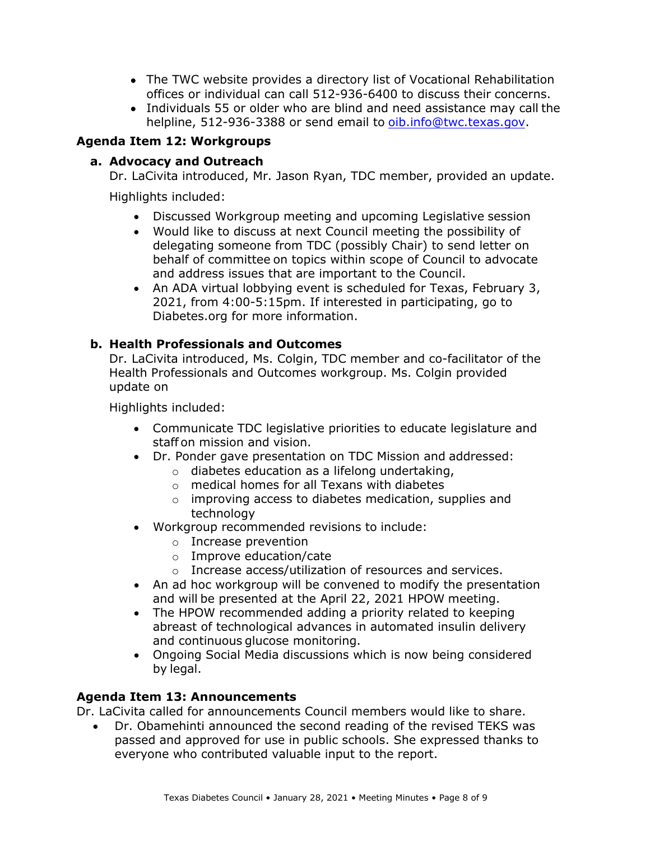- offices or individual can call 512-936-6400 to discuss their concerns. • The TWC website provides a directory list of Vocational Rehabilitation
- Individuals 55 or older who are blind and need assistance may call the helpline, 512-936-3388 or send email to [oib.info@twc.texas.gov.](mailto:oib.info@twc.texas.gov)

# **Agenda Item 12: Workgroups**

# **a. Advocacy and Outreach**

Dr. LaCivita introduced, Mr. Jason Ryan, TDC member, provided an update.

Highlights included:

- Discussed Workgroup meeting and upcoming Legislative session
- and address issues that are important to the Council. • Would like to discuss at next Council meeting the possibility of delegating someone from TDC (possibly Chair) to send letter on behalf of committee on topics within scope of Council to advocate
- An ADA virtual lobbying event is scheduled for Texas, February 3, 2021, from 4:00-5:15pm. If interested in participating, go to [Diabetes.org](https://Diabetes.org) for more information.

## **b. Health Professionals and Outcomes**

 Dr. LaCivita introduced, Ms. Colgin, TDC member and co-facilitator of the Health Professionals and Outcomes workgroup. Ms. Colgin provided update on

Highlights included:

- staff on mission and vision. • Communicate TDC legislative priorities to educate legislature and
- Dr. Ponder gave presentation on TDC Mission and addressed:
	- o diabetes education as a lifelong undertaking,
	- o medical homes for all Texans with diabetes
	- o improving access to diabetes medication, supplies and technology
- • Workgroup recommended revisions to include:
	- o Increase prevention
	- o Improve education/cate
	- o Increase access/utilization of resources and services.
- and will be presented at the April 22, 2021 HPOW meeting. • An ad hoc workgroup will be convened to modify the presentation
- The HPOW recommended adding a priority related to keeping abreast of technological advances in automated insulin delivery and continuous glucose monitoring.
- by legal. • Ongoing Social Media discussions which is now being considered

## **Agenda Item 13: Announcements**

Dr. LaCivita called for announcements Council members would like to share.

 everyone who contributed valuable input to the report. • Dr. Obamehinti announced the second reading of the revised TEKS was passed and approved for use in public schools. She expressed thanks to